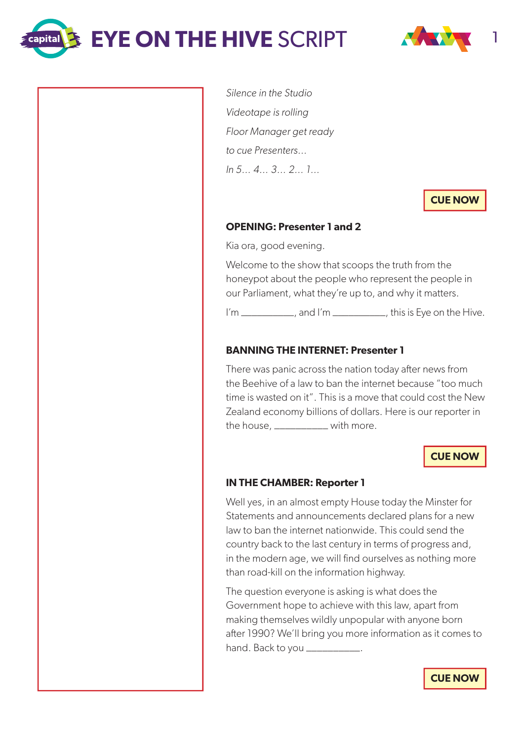**EYE ON THE HIVE SCRIPT** 

 $\mathop{\mathsf{capital}}\nolimits$ 



Silence in the Studio Videotape is rolling Floor Manager get ready to cue Presenters… In 5… 4… 3… 2… 1…

**CUE NOW**

### **OPENING: Presenter 1 and 2**

Kia ora, good evening.

Welcome to the show that scoops the truth from the honeypot about the people who represent the people in our Parliament, what they're up to, and why it matters.

I'm \_\_\_\_\_\_\_\_\_\_, and I'm \_\_\_\_\_\_\_\_\_\_, this is Eye on the Hive.

### **BANNING THE INTERNET: Presenter 1**

There was panic across the nation today after news from the Beehive of a law to ban the internet because "too much time is wasted on it". This is a move that could cost the New Zealand economy billions of dollars. Here is our reporter in the house, \_\_\_\_\_\_\_\_\_\_ with more.

**CUE NOW**

### **IN THE CHAMBER: Reporter 1**

Well yes, in an almost empty House today the Minster for Statements and announcements declared plans for a new law to ban the internet nationwide. This could send the country back to the last century in terms of progress and, in the modern age, we will find ourselves as nothing more than road-kill on the information highway.

The question everyone is asking is what does the Government hope to achieve with this law, apart from making themselves wildly unpopular with anyone born after 1990? We'll bring you more information as it comes to hand. Back to you \_\_\_\_\_\_\_\_\_\_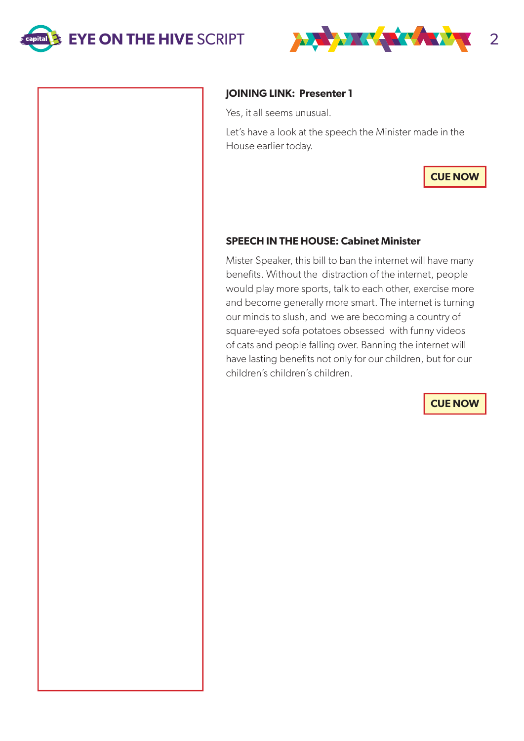



## **JOINING LINK: Presenter 1**

Yes, it all seems unusual.

Let's have a look at the speech the Minister made in the House earlier today.

**CUE NOW**

# **SPEECH IN THE HOUSE: Cabinet Minister**

Mister Speaker, this bill to ban the internet will have many benefits. Without the distraction of the internet, people would play more sports, talk to each other, exercise more and become generally more smart. The internet is turning our minds to slush, and we are becoming a country of square-eyed sofa potatoes obsessed with funny videos of cats and people falling over. Banning the internet will have lasting benefits not only for our children, but for our children's children's children.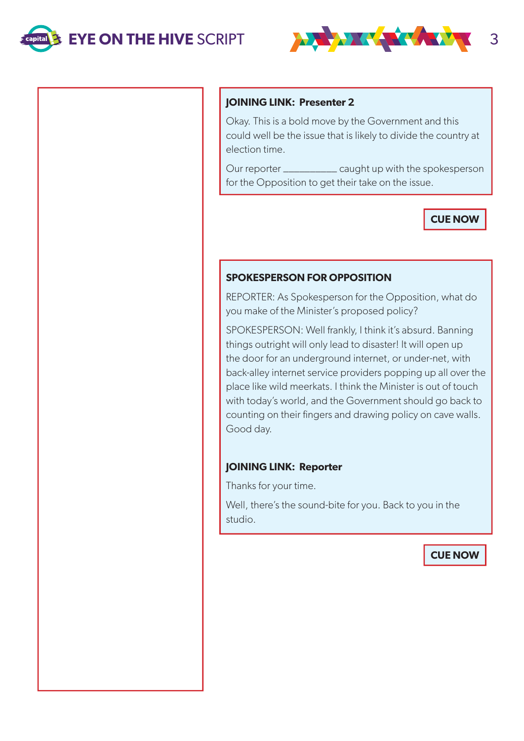

#### **JOINING LINK: Presenter 2**

Okay. This is a bold move by the Government and this could well be the issue that is likely to divide the country at election time.

Our reporter \_\_\_\_\_\_\_\_\_\_ caught up with the spokesperson for the Opposition to get their take on the issue.

# **CUE NOW**

### **SPOKESPERSON FOR OPPOSITION**

REPORTER: As Spokesperson for the Opposition, what do you make of the Minister's proposed policy?

SPOKESPERSON: Well frankly, I think it's absurd. Banning things outright will only lead to disaster! It will open up the door for an underground internet, or under-net, with back-alley internet service providers popping up all over the place like wild meerkats. I think the Minister is out of touch with today's world, and the Government should go back to counting on their fingers and drawing policy on cave walls. Good day.

### **JOINING LINK: Reporter**

Thanks for your time.

Well, there's the sound-bite for you. Back to you in the studio.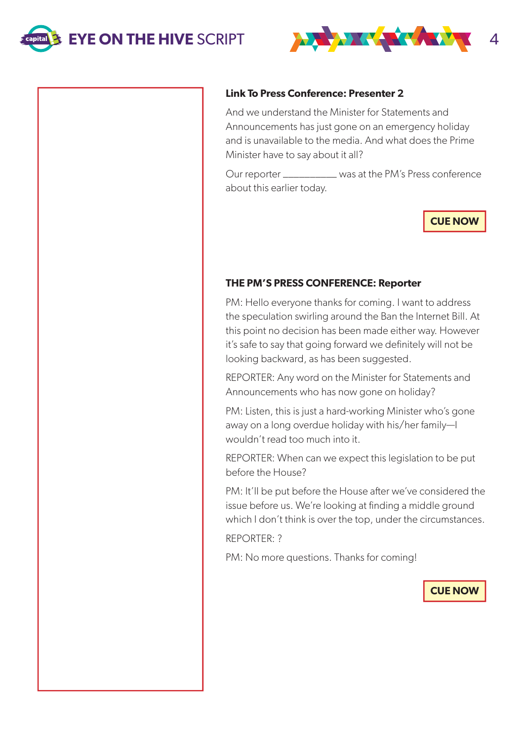**EYE ON THE HIVE SCRIPT 4 AND A REAL PROPERTY AND THE HIVE SCRIPT** 



## **Link To Press Conference: Presenter 2**

And we understand the Minister for Statements and Announcements has just gone on an emergency holiday and is unavailable to the media. And what does the Prime Minister have to say about it all?

Our reporter \_\_\_\_\_\_\_\_\_\_ was at the PM's Press conference about this earlier today.

**CUE NOW**

# **THE PM'S PRESS CONFERENCE: Reporter**

PM: Hello everyone thanks for coming. I want to address the speculation swirling around the Ban the Internet Bill. At this point no decision has been made either way. However it's safe to say that going forward we definitely will not be looking backward, as has been suggested.

REPORTER: Any word on the Minister for Statements and Announcements who has now gone on holiday?

PM: Listen, this is just a hard-working Minister who's gone away on a long overdue holiday with his/her family—I wouldn't read too much into it.

REPORTER: When can we expect this legislation to be put before the House?

PM: It'll be put before the House after we've considered the issue before us. We're looking at finding a middle ground which I don't think is over the top, under the circumstances.

REPORTER: ?

PM: No more questions. Thanks for coming!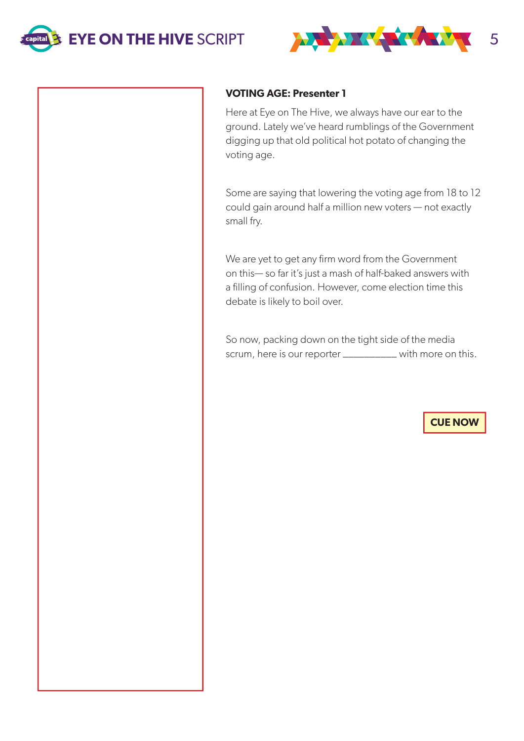



### **VOTING AGE: Presenter 1**

Here at Eye on The Hive, we always have our ear to the ground. Lately we've heard rumblings of the Government digging up that old political hot potato of changing the voting age.

Some are saying that lowering the voting age from 18 to 12 could gain around half a million new voters — not exactly small fry.

We are yet to get any firm word from the Government on this— so far it's just a mash of half-baked answers with a filling of confusion. However, come election time this debate is likely to boil over.

So now, packing down on the tight side of the media scrum, here is our reporter \_\_\_\_\_\_\_\_\_\_ with more on this.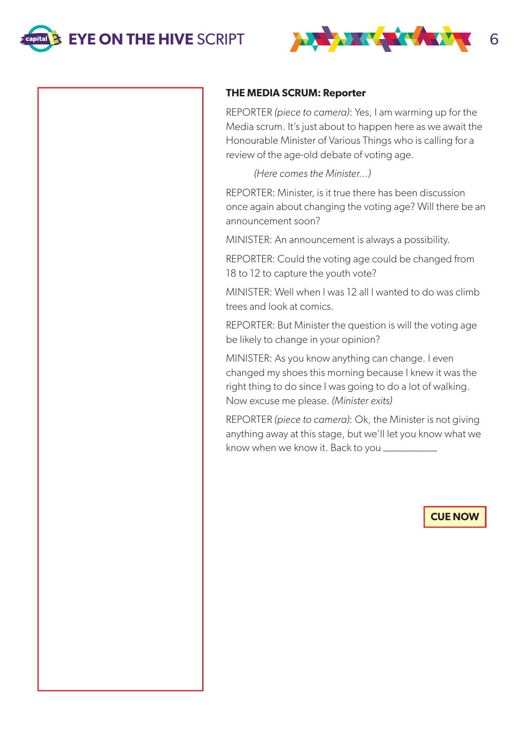



#### **THE MEDIA SCRUM: Reporter**

REPORTER (piece to camera): Yes, I am warming up for the Media scrum. It's just about to happen here as we await the Honourable Minister of Various Things who is calling for a review of the age-old debate of voting age.

(Here comes the Minister…)

REPORTER: Minister, is it true there has been discussion once again about changing the voting age? Will there be an announcement soon?

MINISTER: An announcement is always a possibility.

REPORTER: Could the voting age could be changed from 18 to 12 to capture the youth vote?

MINISTER: Well when I was 12 all I wanted to do was climb trees and look at comics.

REPORTER: But Minister the question is will the voting age be likely to change in your opinion?

MINISTER: As you know anything can change. I even changed my shoes this morning because I knew it was the right thing to do since I was going to do a lot of walking. Now excuse me please. (Minister exits)

REPORTER (piece to camera): Ok, the Minister is not giving anything away at this stage, but we'll let you know what we know when we know it. Back to you \_\_\_\_\_\_\_\_\_\_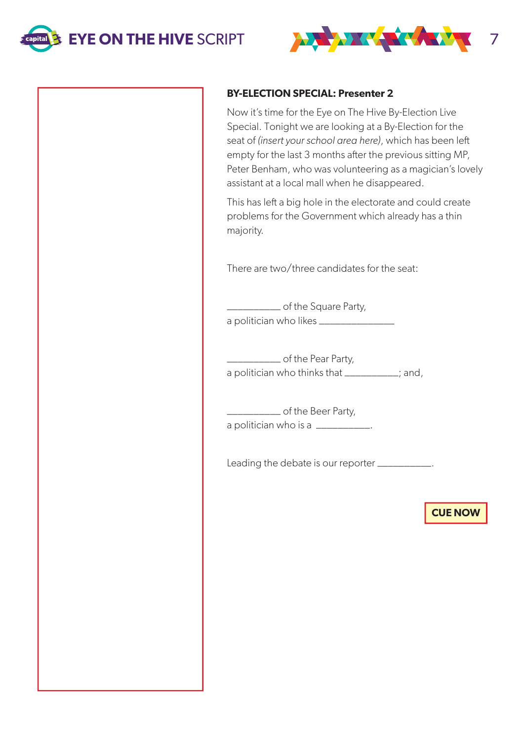

# **BY-ELECTION SPECIAL: Presenter 2**

Now it's time for the Eye on The Hive By-Election Live Special. Tonight we are looking at a By-Election for the seat of (insert your school area here), which has been left empty for the last 3 months after the previous sitting MP, Peter Benham, who was volunteering as a magician's lovely assistant at a local mall when he disappeared.

This has left a big hole in the electorate and could create problems for the Government which already has a thin majority.

There are two/three candidates for the seat:

\_\_\_\_\_\_\_\_\_\_ of the Square Party, a politician who likes \_\_\_\_\_\_\_\_\_\_\_\_\_\_

\_\_\_\_\_\_\_\_\_\_ of the Pear Party, a politician who thinks that \_\_\_\_\_\_\_\_\_; and,

\_\_\_\_\_\_\_\_\_\_ of the Beer Party, a politician who is a \_\_\_\_\_\_\_\_\_\_\_.

Leading the debate is our reporter \_\_\_\_\_\_\_\_\_\_.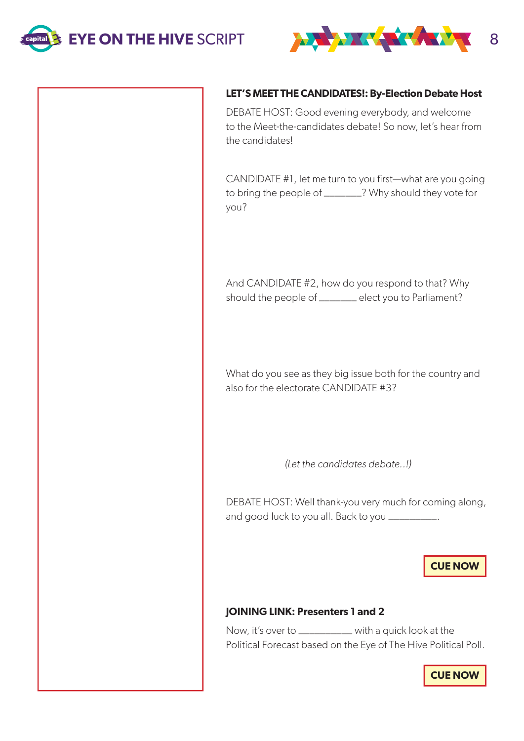



### **LET'S MEET THE CANDIDATES!: By-Election Debate Host**

DEBATE HOST: Good evening everybody, and welcome to the Meet-the-candidates debate! So now, let's hear from the candidates!

CANDIDATE #1, let me turn to you first—what are you going to bring the people of \_\_\_\_\_\_\_? Why should they vote for you?

And CANDIDATE #2, how do you respond to that? Why should the people of \_\_\_\_\_\_\_ elect you to Parliament?

What do you see as they big issue both for the country and also for the electorate CANDIDATE #3?

(Let the candidates debate..!)

DEBATE HOST: Well thank-you very much for coming along, and good luck to you all. Back to you \_\_\_\_\_\_\_\_\_\_.

# **CUE NOW**

### **JOINING LINK: Presenters 1 and 2**

Now, it's over to \_\_\_\_\_\_\_\_\_\_ with a quick look at the Political Forecast based on the Eye of The Hive Political Poll.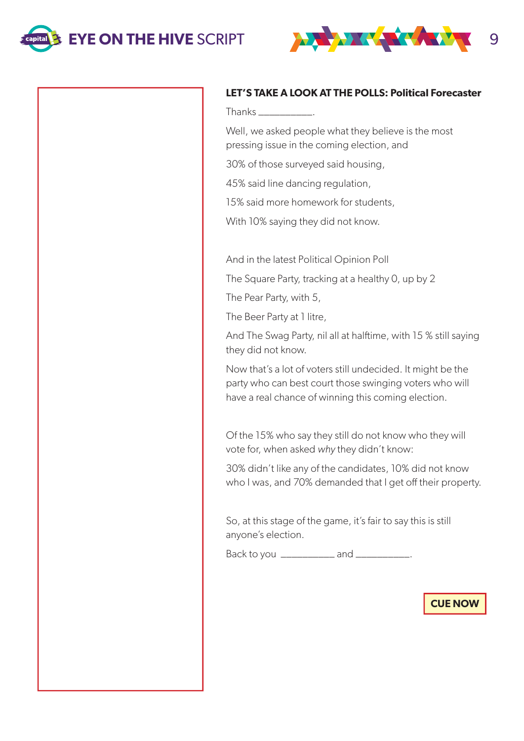



### **LET'S TAKE A LOOK AT THE POLLS: Political Forecaster**

Thanks \_\_\_\_\_\_\_\_\_\_.

Well, we asked people what they believe is the most pressing issue in the coming election, and

30% of those surveyed said housing,

45% said line dancing regulation,

15% said more homework for students,

With 10% saying they did not know.

And in the latest Political Opinion Poll

The Square Party, tracking at a healthy 0, up by 2

The Pear Party, with 5,

The Beer Party at 1 litre,

And The Swag Party, nil all at halftime, with 15 % still saying they did not know.

Now that's a lot of voters still undecided. It might be the party who can best court those swinging voters who will have a real chance of winning this coming election.

Of the 15% who say they still do not know who they will vote for, when asked why they didn't know:

30% didn't like any of the candidates, 10% did not know who I was, and 70% demanded that I get off their property.

So, at this stage of the game, it's fair to say this is still anyone's election.

Back to you \_\_\_\_\_\_\_\_\_\_\_\_ and \_\_\_\_\_\_\_\_\_\_\_.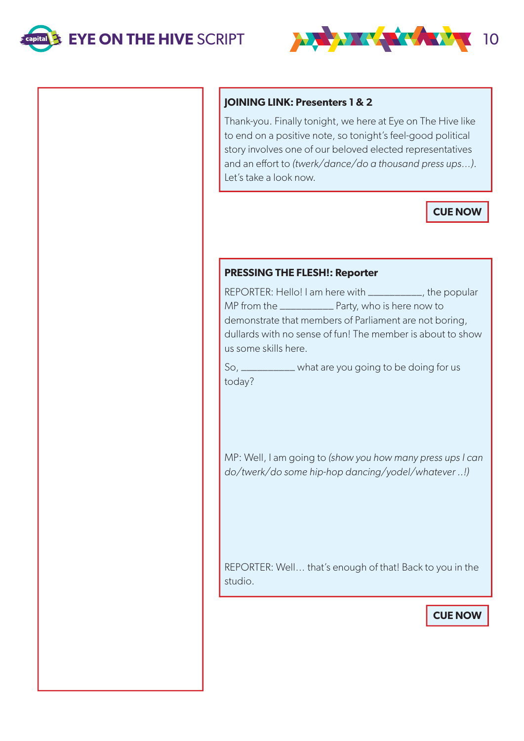

## **JOINING LINK: Presenters 1 & 2**

Thank-you. Finally tonight, we here at Eye on The Hive like to end on a positive note, so tonight's feel-good political story involves one of our beloved elected representatives and an effort to (twerk/dance/do a thousand press ups…). Let's take a look now.

**CUE NOW**

# **PRESSING THE FLESH!: Reporter**

REPORTER: Hello! I am here with \_\_\_\_\_\_\_\_\_\_, the popular MP from the \_\_\_\_\_\_\_\_\_\_ Party, who is here now to demonstrate that members of Parliament are not boring, dullards with no sense of fun! The member is about to show us some skills here.

So, \_\_\_\_\_\_\_\_\_\_ what are you going to be doing for us today?

MP: Well, I am going to (show you how many press ups I can do/twerk/do some hip-hop dancing/yodel/whatever ..!)

REPORTER: Well… that's enough of that! Back to you in the studio.